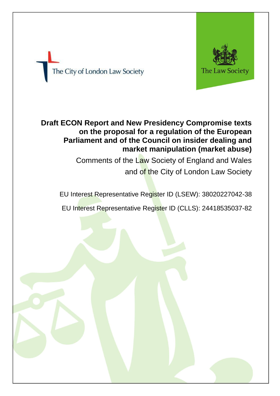



# **Draft ECON Report and New Presidency Compromise texts on the proposal for a regulation of the European Parliament and of the Council on insider dealing and market manipulation (market abuse)**

Comments of the Law Society of England and Wales and of the City of London Law Society

EU Interest Representative Register ID (LSEW): 38020227042-38

EU Interest Representative Register ID (CLLS): 24418535037-82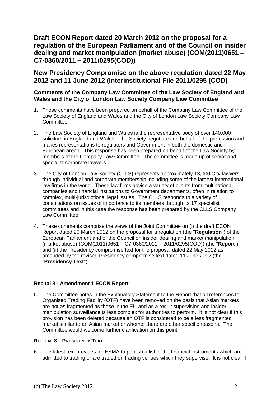# **Draft ECON Report dated 20 March 2012 on the proposal for a regulation of the European Parliament and of the Council on insider dealing and market manipulation (market abuse) (COM(2011)0651 – C7-0360/2011 – 2011/0295(COD))**

# **New Presidency Compromise on the above regulation dated 22 May 2012 and 11 June 2012 (Interinstitutional File 2011/0295 (COD)**

# **Comments of the Company Law Committee of the Law Society of England and Wales and the City of London Law Society Company Law Committee**

- 1. These comments have been prepared on behalf of the Company Law Committee of the Law Society of England and Wales and the City of London Law Society Company Law Committee.
- 2. The Law Society of England and Wales is the representative body of over 140,000 solicitors in England and Wales. The Society negotiates on behalf of the profession and makes representations to regulators and Government in both the domestic and European arena. This response has been prepared on behalf of the Law Society by members of the Company Law Committee. The committee is made up of senior and specialist corporate lawyers
- 3. The City of London Law Society (CLLS) represents approximately 13,000 City lawyers through individual and corporate membership including some of the largest international law firms in the world. These law firms advise a variety of clients from multinational companies and financial institutions to Government departments, often in relation to complex, multi-jurisdictional legal issues. The CLLS responds to a variety of consultations on issues of importance to its members through its 17 specialist committees and in this case the response has been prepared by the CLLS Company Law Committee.
- 4. These comments comprise the views of the Joint Committee on (i) the draft ECON Report dated 20 March 2012 on the proposal for a regulation (the "**Regulation**") of the European Parliament and of the Council on insider dealing and market manipulation (market abuse) (COM(2011)0651 – C7-0360/2011 – 2011/0295(COD)) (the "**Report**") and (ii) the Presidency compromise text for the proposal dated 22 May 2012 as amended by the revised Presidency compromise text dated 11 June 2012 (the "**Presidency Text**").

#### **Recital 8 - Amendment 1 ECON Report**

5. The Committee notes in the Explanatory Statement to the Report that all references to Organised Trading Facility (OTF) have been removed on the basis that Asian markets are not as fragmented as those in the EU and as a result supervision and insider manipulation surveillance is less complex for authorities to perform. It is not clear if this provision has been deleted because an OTF is considered to be a less fragmented market similar to an Asian market or whether there are other specific reasons. The Committee would welcome further clarification on this point.

#### **RECITAL 8 – PRESIDENCY TEXT**

6. The latest text provides for ESMA to publish a list of the financial instruments which are admitted to trading or are traded on trading venues which they supervise. It is not clear if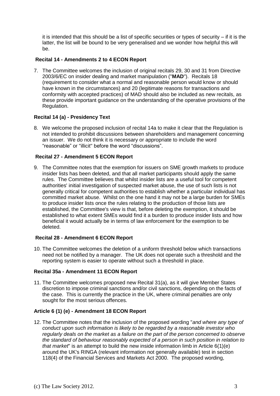it is intended that this should be a list of specific securities or types of security – if it is the latter, the list will be bound to be very generalised and we wonder how helpful this will be.

# **Recital 14 - Amendments 2 to 4 ECON Report**

7. The Committee welcomes the inclusion of original recitals 29, 30 and 31 from Directive 2003/6/EC on insider dealing and market manipulation ("**MAD**"). Recitals 18 (requirement to consider what a normal and reasonable person would know or should have known in the circumstances) and 20 (legitimate reasons for transactions and conformity with accepted practices) of MAD should also be included as new recitals, as these provide important guidance on the understanding of the operative provisions of the Regulation.

# **Recital 14 (a) - Presidency Text**

8. We welcome the proposed inclusion of recital 14a to make it clear that the Regulation is not intended to prohibit discussions between shareholders and management concerning an issuer. We do not think it is necessary or appropriate to include the word "reasonable" or "illicit" before the word "discussions".

# **Recital 27 - Amendment 5 ECON Report**

9. The Committee notes that the exemption for issuers on SME growth markets to produce insider lists has been deleted, and that all market participants should apply the same rules. The Committee believes that whilst insider lists are a useful tool for competent authorities' initial investigation of suspected market abuse, the use of such lists is not generally critical for competent authorities to establish whether a particular individual has committed market abuse. Whilst on the one hand it may not be a large burden for SMEs to produce insider lists once the rules relating to the production of those lists are established, the Committee's view is that, before deleting the exemption, it should be established to what extent SMEs would find it a burden to produce insider lists and how beneficial it would actually be in terms of law enforcement for the exemption to be deleted.

# **Recital 28 - Amendment 6 ECON Report**

10. The Committee welcomes the deletion of a uniform threshold below which transactions need not be notified by a manager. The UK does not operate such a threshold and the reporting system is easier to operate without such a threshold in place.

#### **Recital 35a - Amendment 11 ECON Report**

11. The Committee welcomes proposed new Recital 31(a), as it will give Member States discretion to impose criminal sanctions and/or civil sanctions, depending on the facts of the case. This is currently the practice in the UK, where criminal penalties are only sought for the most serious offences.

# **Article 6 (1) (e) - Amendment 18 ECON Report**

12. The Committee notes that the inclusion of the proposed wording "*and where any type of conduct upon such information is likely to be regarded by a reasonable investor who regularly deals on the market as a failure on the part of the person concerned to observe the standard of behaviour reasonably expected of a person in such position in relation to that market*" is an attempt to build the new inside information limb in Article 6(1)(e) around the UK's RINGA (relevant information not generally available) test in section 118(4) of the Financial Services and Markets Act 2000. The proposed wording,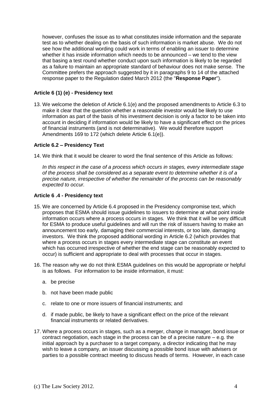however, confuses the issue as to what constitutes inside information and the separate test as to whether dealing on the basis of such information is market abuse. We do not see how the additional wording could work in terms of enabling an issuer to determine whether it has inside information which needs to be announced – we tend to the view that basing a test round whether conduct upon such information is likely to be regarded as a failure to maintain an appropriate standard of behaviour does not make sense. The Committee prefers the approach suggested by it in paragraphs 9 to 14 of the attached response paper to the Regulation dated March 2012 (the "**Response Paper**").

# **Article 6 (1) (e) - Presidency text**

13. We welcome the deletion of Article 6.1(e) and the proposed amendments to Article 6.3 to make it clear that the question whether a reasonable investor would be likely to use information as part of the basis of his investment decision is only a factor to be taken into account in deciding if information would be likely to have a significant effect on the prices of financial instruments (and is not determinative). We would therefore support Amendments 169 to 172 (which delete Article 6.1(e)).

#### **Article 6.2 – Presidency Text**

14. We think that it would be clearer to word the final sentence of this Article as follows:

*In this respect in the case of a process which occurs in stages, every intermediate stage of the process shall be considered as a separate event to determine whether it is of a precise nature, irrespective of whether the remainder of the process can be reasonably expected to occur.* 

#### **Article 6 .4 - Presidency text**

- 15. We are concerned by Article 6.4 proposed in the Presidency compromise text, which proposes that ESMA should issue guidelines to issuers to determine at what point inside information occurs where a process occurs in stages. We think that it will be very difficult for ESMA to produce useful guidelines and will run the risk of issuers having to make an announcement too early, damaging their commercial interests, or too late, damaging investors. We think the proposed additional wording in Article 6.2 (which provides that where a process occurs in stages every intermediate stage can constitute an event which has occurred irrespective of whether the end stage can be reasonably expected to occur) is sufficient and appropriate to deal with processes that occur in stages.
- 16. The reason why we do not think ESMA guidelines on this would be appropriate or helpful is as follows. For information to be inside information, it must:
	- a. be precise
	- b. not have been made public
	- c. relate to one or more issuers of financial instruments; and
	- d. if made public, be likely to have a significant effect on the price of the relevant financial instruments or related derivatives.
- 17. Where a process occurs in stages, such as a merger, change in manager, bond issue or contract negotiation, each stage in the process can be of a precise nature – e.g. the initial approach by a purchaser to a target company, a director indicating that he may wish to leave a company, an issuer discussing a possible bond issue with advisers or parties to a possible contract meeting to discuss heads of terms. However, in each case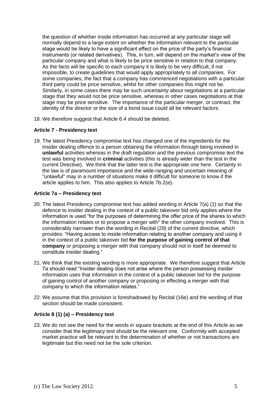the question of whether inside information has occurred at any particular stage will normally depend to a large extent on whether the information relevant to the particular stage would be likely to have a significant effect on the price of the party's financial instruments (or related derivatives). This, in turn, will depend on the market's view of the particular company and what is likely to be price sensitive in relation to that company. As the facts will be specific to each company it is likely to be very difficult, if not impossible, to create guidelines that would apply appropriately to all companies. For some companies, the fact that a company has commenced negotiations with a particular third party could be price sensitive, whilst for other companies this might not be. Similarly, in some cases there may be such uncertainty about negotiations at a particular stage that they would not be price sensitive, whereas in other cases negotiations at that stage may be price sensitive. The importance of the particular merger, or contract, the identity of the director or the size of a bond issue could all be relevant factors.

18. We therefore suggest that Article 6.4 should be deleted.

#### **Article 7 - Presidency text**

19. The latest Presidency compromise text has changed one of the ingredients for the insider dealing offence to a person obtaining the information through being involved in **unlawful** activities whereas in the draft regulation and the previous compromise text the test was being involved in **criminal** activities (this is already wider than the test in the current Directive). We think that the latter test is the appropriate one here. Certainty in the law is of paramount importance and the wide-ranging and uncertain meaning of "unlawful" may in a number of situations make it difficult for someone to know if the article applies to him. This also applies to Article 7b.2(e).

#### **Article 7a – Presidency text**

- 20. The latest Presidency compromise text has added wording in Article 7(a) (1) so that the defence to insider dealing in the context of a public takeover bid only applies where the information is used "for the purposes of determining the offer price of the shares to which the information relates or to propose a merger with" the other company involved. This is considerably narrower than the wording in Recital (29) of the current directive, which provides: "Having access to inside information relating to another company and using it in the context of a public takeover bid **for the purpose of gaining control of that company** or proposing a merger with that company should not in itself be deemed to constitute insider dealing."
- 21. We think that the existing wording is more appropriate. We therefore suggest that Article 7a should read "Insider dealing does not arise where the person possessing insider information uses that information in the context of a public takeover bid for the purpose of gaining control of another company or proposing or effecting a merger with that company to which the information relates."
- 22. We assume that this provision is foreshadowed by Recital (16e) and the wording of that section should be made consistent.

# **Article 8 (1) (a) – Presidency text**

23. We do not see the need for the words in square brackets at the end of this Article as we consider that the legitimacy test should be the relevant one. Conformity with accepted market practice will be relevant to the determination of whether or not transactions are legitimate but this need not be the sole criterion.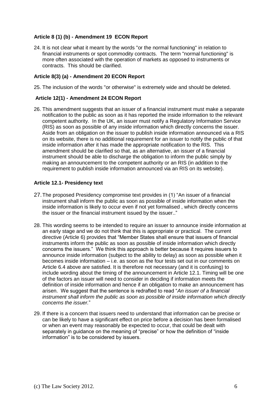# **Article 8 (1) (b) - Amendment 19 ECON Report**

24. It is not clear what it meant by the words "or the normal functioning" in relation to financial instruments or spot commodity contracts. The term "normal functioning" is more often associated with the operation of markets as opposed to instruments or contracts. This should be clarified.

#### **Article 8(3) (a) - Amendment 20 ECON Report**

25. The inclusion of the words "or otherwise" is extremely wide and should be deleted.

#### **Article 12(1) - Amendment 24 ECON Report**

26. This amendment suggests that an issuer of a financial instrument must make a separate notification to the public as soon as it has reported the inside information to the relevant competent authority. In the UK, an issuer must notify a Regulatory Information Service (RIS) as soon as possible of any inside information which directly concerns the issuer. Aside from an obligation on the issuer to publish inside information announced via a RIS on its website, there is no additional requirement for an issuer to notify the public of that inside information after it has made the appropriate notification to the RIS. This amendment should be clarified so that, as an alternative, an issuer of a financial instrument should be able to discharge the obligation to inform the public simply by making an announcement to the competent authority or an RIS (in addition to the requirement to publish inside information announced via an RIS on its website).

#### **Article 12.1- Presidency text**

- 27.The proposed Presidency compromise text provides in (1) "An issuer of a financial instrument shall inform the public as soon as possible of inside information when the inside information is likely to occur even if not yet formalised , which directly concerns the issuer or the financial instrument issued by the issuer.."
- 28. This wording seems to be intended to require an issuer to announce inside information at an early stage and we do not think that this is appropriate or practical. The current directive (Article 6) provides that "Member States shall ensure that issuers of financial instruments inform the public as soon as possible of inside information which directly concerns the issuers." We think this approach is better because it requires issuers to announce inside information (subject to the ability to delay) as soon as possible when it becomes inside information – i.e. as soon as the four tests set out in our comments on Article 6.4 above are satisfied. It is therefore not necessary (and it is confusing) to include wording about the timing of the announcement in Article 12.1. Timing will be one of the factors an issuer will need to consider in deciding if information meets the definition of inside information and hence if an obligation to make an announcement has arisen. We suggest that the sentence is redrafted to read "*An issuer of a financial instrument shall inform the public as soon as possible of inside information which directly concerns the issuer.*"
- 29. If there is a concern that issuers need to understand that information can be precise or can be likely to have a significant effect on price before a decision has been formalised or when an event may reasonably be expected to occur, that could be dealt with separately in guidance on the meaning of "precise" or how the definition of "inside information" is to be considered by issuers.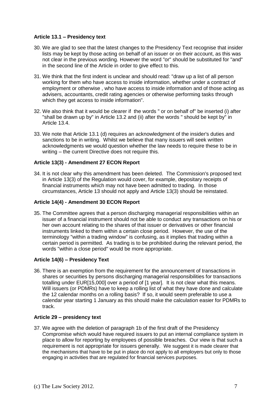# **Article 13.1 – Presidency text**

- 30. We are glad to see that the latest changes to the Presidency Text recognise that insider lists may be kept by those acting on behalf of an issuer or on their account, as this was not clear in the previous wording. However the word "or" should be substituted for "and" in the second line of the Article in order to give effect to this.
- 31. We think that the first indent is unclear and should read: "draw up a list of all person working for them who have access to inside information, whether under a contract of employment or otherwise , who have access to inside information and of those acting as advisers, accountants, credit rating agencies or otherwise performing tasks through which they get access to inside information".
- 32. We also think that it would be clearer if the words " or on behalf of" be inserted (i) after "shall be drawn up by" in Article 13.2 and (ii) after the words " should be kept by" in Article 13.4.
- 33. We note that Article 13.1 (d) requires an acknowledgment of the insider's duties and sanctions to be in writing. Whilst we believe that many issuers will seek written acknowledgments we would question whether the law needs to require these to be in writing – the current Directive does not require this.

# **Article 13(3) - Amendment 27 ECON Report**

34. It is not clear why this amendment has been deleted. The Commission's proposed text in Article 13(3) of the Regulation would cover, for example, depositary receipts of financial instruments which may not have been admitted to trading. In those circumstances, Article 13 should not apply and Article 13(3) should be reinstated.

#### **Article 14(4) - Amendment 30 ECON Report**

35. The Committee agrees that a person discharging managerial responsibilities within an issuer of a financial instrument should not be able to conduct any transactions on his or her own account relating to the shares of that issuer or derivatives or other financial instruments linked to them within a certain close period. However, the use of the terminology "within a trading window" is confusing, as it implies that trading within a certain period is permitted. As trading is to be prohibited during the relevant period, the words "within a close period" would be more appropriate.

#### **Article 14(6) – Presidency Text**

36. There is an exemption from the requirement for the announcement of transactions in shares or securities by persons discharging managerial responsibilities for transactions totalling under EUR[15,000] over a period of [1 year]. It is not clear what this means. Will issuers (or PDMRs) have to keep a rolling list of what they have done and calculate the 12 calendar months on a rolling basis? If so, it would seem preferable to use a calendar year starting 1 January as this should make the calculation easier for PDMRs to track.

#### **Article 29 – presidency text**

37. We agree with the deletion of paragraph 1b of the first draft of the Presidency Compromise which would have required issuers to put an internal compliance system in place to allow for reporting by employees of possible breaches. Our view is that such a requirement is not appropriate for issuers generally. We suggest it is made clearer that the mechanisms that have to be put in place do not apply to all employers but only to those engaging in activities that are regulated for financial services purposes.